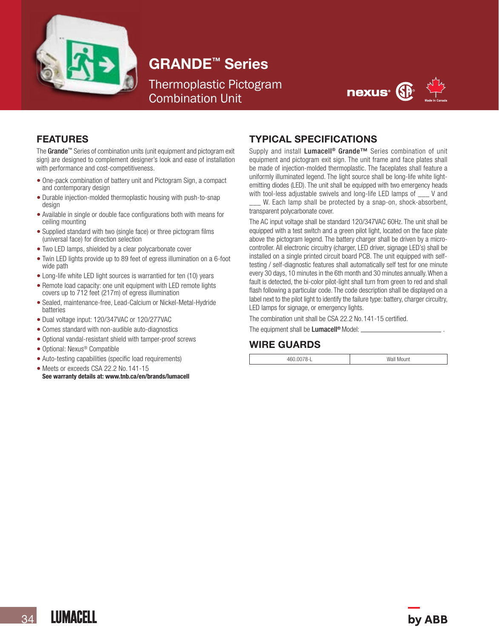

# GRANDE™ Series

Thermoplastic Pictogram Combination Unit



## FEATURES

The Grande™ Series of combination units (unit equipment and pictogram exit sign) are designed to complement designer's look and ease of installation with performance and cost-competitiveness.

- One-pack combination of battery unit and Pictogram Sign, a compact and contemporary design
- Durable injection-molded thermoplastic housing with push-to-snap design
- Available in single or double face configurations both with means for ceiling mounting
- Supplied standard with two (single face) or three pictogram films (universal face) for direction selection
- Two LED lamps, shielded by a clear polycarbonate cover
- Twin LED lights provide up to 89 feet of egress illumination on a 6-foot wide path
- Long-life white LED light sources is warrantied for ten (10) years
- Remote load capacity: one unit equipment with LED remote lights covers up to 712 feet (217m) of egress illumination
- Sealed, maintenance-free, Lead-Calcium or Nickel-Metal-Hydride batteries
- Dual voltage input: 120/347VAC or 120/277VAC
- Comes standard with non-audible auto-diagnostics
- Optional vandal-resistant shield with tamper-proof screws
- Optional: Nexus® Compatible
- Auto-testing capabilities (specific load requirements)
- Meets or exceeds CSA 22.2 No. 141-15<br>See warranty details at: www.tnb.ca/en/brands/lumacell

#### TYPICAL SPECIFICATIONS

Supply and install Lumacell<sup>®</sup> Grande<sup>™</sup> Series combination of unit equipment and pictogram exit sign. The unit frame and face plates shall be made of injection-molded thermoplastic. The faceplates shall feature a uniformly illuminated legend. The light source shall be long-life white lightemitting diodes (LED). The unit shall be equipped with two emergency heads with tool-less adjustable swivels and long-life LED lamps of  $\blacksquare$  V and

W. Each lamp shall be protected by a snap-on, shock-absorbent, transparent polycarbonate cover.

The AC input voltage shall be standard 120/347VAC 60Hz. The unit shall be equipped with a test switch and a green pilot light, located on the face plate above the pictogram legend. The battery charger shall be driven by a microcontroller. All electronic circuitry (charger, LED driver, signage LED's) shall be installed on a single printed circuit board PCB. The unit equipped with selftesting / self-diagnostic features shall automatically self test for one minute every 30 days, 10 minutes in the 6th month and 30 minutes annually. When a fault is detected, the bi-color pilot-light shall turn from green to red and shall flash following a particular code. The code description shall be displayed on a label next to the pilot light to identify the failure type: battery, charger circuitry, LED lamps for signage, or emergency lights.

The combination unit shall be CSA 22.2 No.141-15 certified.

# WIRE GUARDS

The equipment shall be Lumacell<sup>®</sup> Model:

460.0078-L Wall Mount